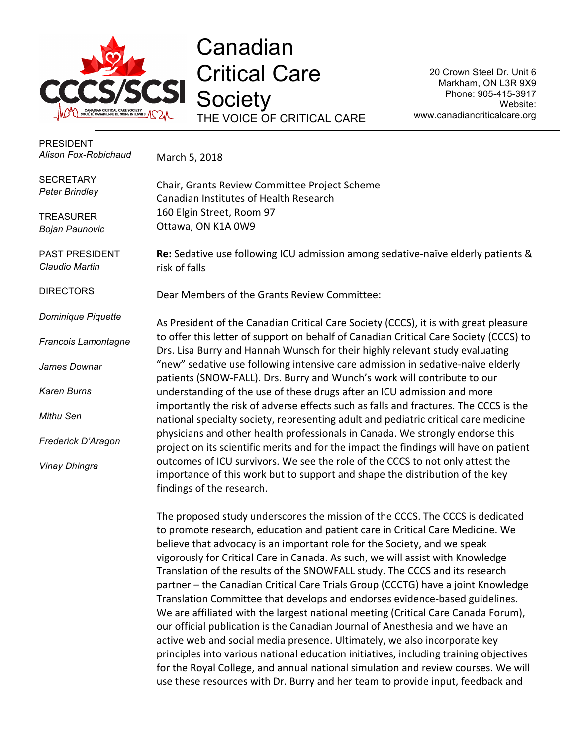

Canadian Critical Care **Society** THE VOICE OF CRITICAL CARE

20 Crown Steel Dr. Unit 6 Markham, ON L3R 9X9 Phone: 905-415-3917 Website: www.canadiancriticalcare.org

| <b>PRESIDENT</b><br>Alison Fox-Robichaud  | March 5, 2018                                                                                                                                                                                                                                                                                                                                                                                                                                                                                                                                                                                                                                                       |
|-------------------------------------------|---------------------------------------------------------------------------------------------------------------------------------------------------------------------------------------------------------------------------------------------------------------------------------------------------------------------------------------------------------------------------------------------------------------------------------------------------------------------------------------------------------------------------------------------------------------------------------------------------------------------------------------------------------------------|
| <b>SECRETARY</b><br><b>Peter Brindley</b> | Chair, Grants Review Committee Project Scheme<br>Canadian Institutes of Health Research                                                                                                                                                                                                                                                                                                                                                                                                                                                                                                                                                                             |
| <b>TREASURER</b><br><b>Bojan Paunovic</b> | 160 Elgin Street, Room 97<br>Ottawa, ON K1A 0W9                                                                                                                                                                                                                                                                                                                                                                                                                                                                                                                                                                                                                     |
| PAST PRESIDENT<br>Claudio Martin          | Re: Sedative use following ICU admission among sedative-naïve elderly patients &<br>risk of falls                                                                                                                                                                                                                                                                                                                                                                                                                                                                                                                                                                   |
| <b>DIRECTORS</b>                          | Dear Members of the Grants Review Committee:                                                                                                                                                                                                                                                                                                                                                                                                                                                                                                                                                                                                                        |
| Dominique Piquette                        | As President of the Canadian Critical Care Society (CCCS), it is with great pleasure                                                                                                                                                                                                                                                                                                                                                                                                                                                                                                                                                                                |
| Francois Lamontagne                       | to offer this letter of support on behalf of Canadian Critical Care Society (CCCS) to<br>Drs. Lisa Burry and Hannah Wunsch for their highly relevant study evaluating                                                                                                                                                                                                                                                                                                                                                                                                                                                                                               |
| James Downar                              | "new" sedative use following intensive care admission in sedative-naïve elderly<br>patients (SNOW-FALL). Drs. Burry and Wunch's work will contribute to our                                                                                                                                                                                                                                                                                                                                                                                                                                                                                                         |
| <b>Karen Burns</b>                        | understanding of the use of these drugs after an ICU admission and more                                                                                                                                                                                                                                                                                                                                                                                                                                                                                                                                                                                             |
| Mithu Sen                                 | importantly the risk of adverse effects such as falls and fractures. The CCCS is the<br>national specialty society, representing adult and pediatric critical care medicine                                                                                                                                                                                                                                                                                                                                                                                                                                                                                         |
| Frederick D'Aragon                        | physicians and other health professionals in Canada. We strongly endorse this<br>project on its scientific merits and for the impact the findings will have on patient                                                                                                                                                                                                                                                                                                                                                                                                                                                                                              |
| Vinay Dhingra                             | outcomes of ICU survivors. We see the role of the CCCS to not only attest the<br>importance of this work but to support and shape the distribution of the key<br>findings of the research.                                                                                                                                                                                                                                                                                                                                                                                                                                                                          |
|                                           | The proposed study underscores the mission of the CCCS. The CCCS is dedicated<br>to promote research, education and patient care in Critical Care Medicine. We<br>believe that advocacy is an important role for the Society, and we speak<br>vigorously for Critical Care in Canada. As such, we will assist with Knowledge<br>Translation of the results of the SNOWFALL study. The CCCS and its research<br>partner - the Canadian Critical Care Trials Group (CCCTG) have a joint Knowledge<br>Translation Committee that develops and endorses evidence-based guidelines.<br>We are affiliated with the largest national meeting (Critical Care Canada Forum), |

our official publication is the Canadian Journal of Anesthesia and we have an active web and social media presence. Ultimately, we also incorporate key principles into various national education initiatives, including training objectives for the Royal College, and annual national simulation and review courses. We will use these resources with Dr. Burry and her team to provide input, feedback and